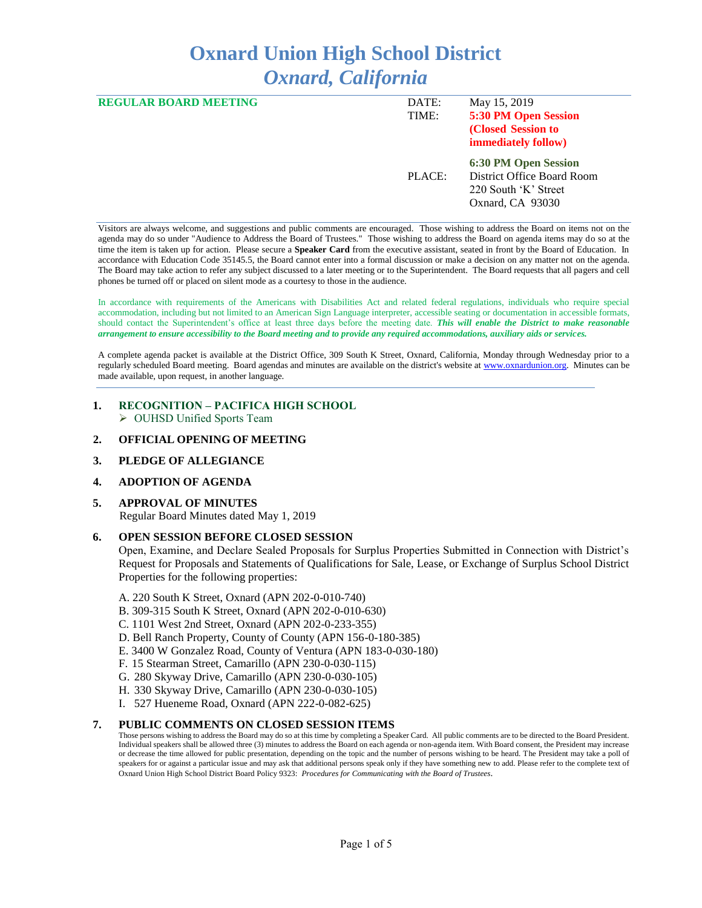# **Oxnard Union High School District** *Oxnard, California*

| <b>REGULAR BOARD MEETING</b> | DATE:<br>TIME: | May 15, 2019<br>5:30 PM Open Session<br>(Closed Session to<br>immediately follow)              |
|------------------------------|----------------|------------------------------------------------------------------------------------------------|
|                              | PLACE:         | 6:30 PM Open Session<br>District Office Board Room<br>220 South 'K' Street<br>Oxnard, CA 93030 |

Visitors are always welcome, and suggestions and public comments are encouraged. Those wishing to address the Board on items not on the agenda may do so under "Audience to Address the Board of Trustees." Those wishing to address the Board on agenda items may do so at the time the item is taken up for action. Please secure a **Speaker Card** from the executive assistant, seated in front by the Board of Education. In accordance with Education Code 35145.5, the Board cannot enter into a formal discussion or make a decision on any matter not on the agenda. The Board may take action to refer any subject discussed to a later meeting or to the Superintendent. The Board requests that all pagers and cell phones be turned off or placed on silent mode as a courtesy to those in the audience.

In accordance with requirements of the Americans with Disabilities Act and related federal regulations, individuals who require special accommodation, including but not limited to an American Sign Language interpreter, accessible seating or documentation in accessible formats, should contact the Superintendent's office at least three days before the meeting date. *This will enable the District to make reasonable arrangement to ensure accessibility to the Board meeting and to provide any required accommodations, auxiliary aids or services.* 

A complete agenda packet is available at the District Office, 309 South K Street, Oxnard, California, Monday through Wednesday prior to a regularly scheduled Board meeting. Board agendas and minutes are available on the district's website a[t www.ox](http://www.o/)nardunion.org.Minutes can be made available, upon request, in another language.

## **1. RECOGNITION – PACIFICA HIGH SCHOOL** ➢ OUHSD Unified Sports Team

#### **2. OFFICIAL OPENING OF MEETING**

## **3. PLEDGE OF ALLEGIANCE**

## **4. ADOPTION OF AGENDA**

#### **5. APPROVAL OF MINUTES**

Regular Board Minutes dated May 1, 2019

#### **6. OPEN SESSION BEFORE CLOSED SESSION**

Open, Examine, and Declare Sealed Proposals for Surplus Properties Submitted in Connection with District's Request for Proposals and Statements of Qualifications for Sale, Lease, or Exchange of Surplus School District Properties for the following properties:

A. 220 South K Street, Oxnard (APN 202-0-010-740)

- B. 309-315 South K Street, Oxnard (APN 202-0-010-630)
- C. 1101 West 2nd Street, Oxnard (APN 202-0-233-355)
- D. Bell Ranch Property, County of County (APN 156-0-180-385)
- E. 3400 W Gonzalez Road, County of Ventura (APN 183-0-030-180)
- F. 15 Stearman Street, Camarillo (APN 230-0-030-115)
- G. 280 Skyway Drive, Camarillo (APN 230-0-030-105)
- H. 330 Skyway Drive, Camarillo (APN 230-0-030-105)
- I. 527 Hueneme Road, Oxnard (APN 222-0-082-625)

## **7. PUBLIC COMMENTS ON CLOSED SESSION ITEMS**

Those persons wishing to address the Board may do so at this time by completing a Speaker Card. All public comments are to be directed to the Board President. Individual speakers shall be allowed three (3) minutes to address the Board on each agenda or non-agenda item. With Board consent, the President may increase or decrease the time allowed for public presentation, depending on the topic and the number of persons wishing to be heard. The President may take a poll of speakers for or against a particular issue and may ask that additional persons speak only if they have something new to add. Please refer to the complete text of Oxnard Union High School District Board Policy 9323: *Procedures for Communicating with the Board of Trustees*.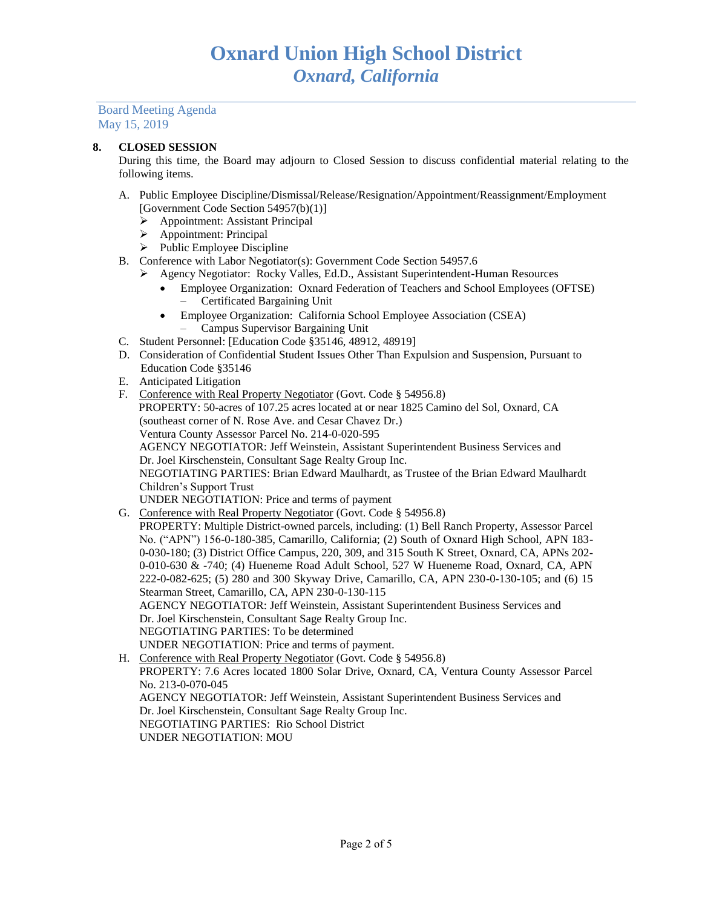## **8. CLOSED SESSION**

During this time, the Board may adjourn to Closed Session to discuss confidential material relating to the following items.

- A. Public Employee Discipline/Dismissal/Release/Resignation/Appointment/Reassignment/Employment [Government Code Section 54957(b)(1)]
	- ➢ Appointment: Assistant Principal
	- ➢ Appointment: Principal
	- ➢ Public Employee Discipline
- B. Conference with Labor Negotiator(s): Government Code Section 54957.6
	- ➢ Agency Negotiator: Rocky Valles, Ed.D., Assistant Superintendent-Human Resources
		- Employee Organization: Oxnard Federation of Teachers and School Employees (OFTSE) – Certificated Bargaining Unit
		- Employee Organization: California School Employee Association (CSEA)
			- Campus Supervisor Bargaining Unit
- C. Student Personnel: [Education Code §35146, 48912, 48919]
- D. Consideration of Confidential Student Issues Other Than Expulsion and Suspension, Pursuant to Education Code §35146
- E. Anticipated Litigation
- F. Conference with Real Property Negotiator (Govt. Code § 54956.8) PROPERTY: 50-acres of 107.25 acres located at or near 1825 Camino del Sol, Oxnard, CA (southeast corner of N. Rose Ave. and Cesar Chavez Dr.) Ventura County Assessor Parcel No. 214-0-020-595 AGENCY NEGOTIATOR: Jeff Weinstein, Assistant Superintendent Business Services and Dr. Joel Kirschenstein, Consultant Sage Realty Group Inc. NEGOTIATING PARTIES: Brian Edward Maulhardt, as Trustee of the Brian Edward Maulhardt Children's Support Trust UNDER NEGOTIATION: Price and terms of payment
- G. Conference with Real Property Negotiator (Govt. Code § 54956.8) PROPERTY: Multiple District-owned parcels, including: (1) Bell Ranch Property, Assessor Parcel No. ("APN") 156-0-180-385, Camarillo, California; (2) South of Oxnard High School, APN 183- 0-030-180; (3) District Office Campus, 220, 309, and 315 South K Street, Oxnard, CA, APNs 202- 0-010-630 & -740; (4) Hueneme Road Adult School, 527 W Hueneme Road, Oxnard, CA, APN 222-0-082-625; (5) 280 and 300 Skyway Drive, Camarillo, CA, APN 230-0-130-105; and (6) 15 Stearman Street, Camarillo, CA, APN 230-0-130-115 AGENCY NEGOTIATOR: Jeff Weinstein, Assistant Superintendent Business Services and Dr. Joel Kirschenstein, Consultant Sage Realty Group Inc. NEGOTIATING PARTIES: To be determined

UNDER NEGOTIATION: Price and terms of payment. H. Conference with Real Property Negotiator (Govt. Code § 54956.8) PROPERTY: 7.6 Acres located 1800 Solar Drive, Oxnard, CA, Ventura County Assessor Parcel No. 213-0-070-045 AGENCY NEGOTIATOR: Jeff Weinstein, Assistant Superintendent Business Services and Dr. Joel Kirschenstein, Consultant Sage Realty Group Inc. NEGOTIATING PARTIES: Rio School District UNDER NEGOTIATION: MOU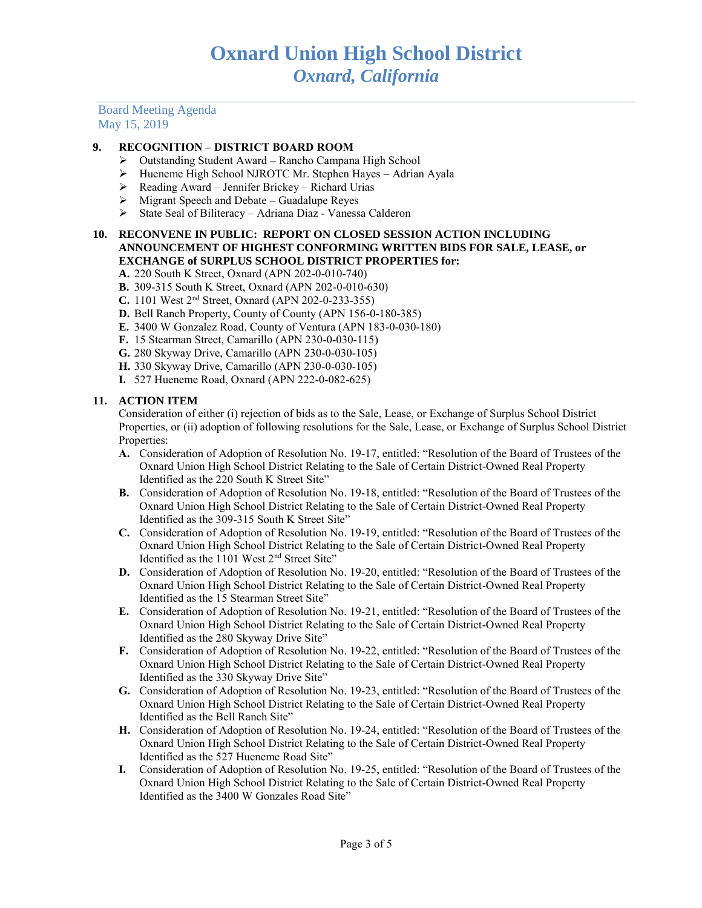# **9. RECOGNITION – DISTRICT BOARD ROOM**

- ➢ Outstanding Student Award Rancho Campana High School
- ➢ Hueneme High School NJROTC Mr. Stephen Hayes Adrian Ayala
- $\triangleright$  Reading Award Jennifer Brickey Richard Urias
- $\triangleright$  Migrant Speech and Debate Guadalupe Reyes
- ➢ State Seal of Biliteracy Adriana Diaz Vanessa Calderon

## **10. RECONVENE IN PUBLIC: REPORT ON CLOSED SESSION ACTION INCLUDING ANNOUNCEMENT OF HIGHEST CONFORMING WRITTEN BIDS FOR SALE, LEASE, or EXCHANGE of SURPLUS SCHOOL DISTRICT PROPERTIES for:**

- **A.** 220 South K Street, Oxnard (APN 202-0-010-740)
- **B.** 309-315 South K Street, Oxnard (APN 202-0-010-630)
- **C.** 1101 West 2nd Street, Oxnard (APN 202-0-233-355)
- **D.** Bell Ranch Property, County of County (APN 156-0-180-385)
- **E.** 3400 W Gonzalez Road, County of Ventura (APN 183-0-030-180)
- **F.** 15 Stearman Street, Camarillo (APN 230-0-030-115)
- **G.** 280 Skyway Drive, Camarillo (APN 230-0-030-105)
- **H.** 330 Skyway Drive, Camarillo (APN 230-0-030-105)
- **I.** 527 Hueneme Road, Oxnard (APN 222-0-082-625)

## **11. ACTION ITEM**

Consideration of either (i) rejection of bids as to the Sale, Lease, or Exchange of Surplus School District Properties, or (ii) adoption of following resolutions for the Sale, Lease, or Exchange of Surplus School District Properties:

- **A.** Consideration of Adoption of Resolution No. 19-17, entitled: "Resolution of the Board of Trustees of the Oxnard Union High School District Relating to the Sale of Certain District-Owned Real Property Identified as the 220 South K Street Site"
- **B.** Consideration of Adoption of Resolution No. 19-18, entitled: "Resolution of the Board of Trustees of the Oxnard Union High School District Relating to the Sale of Certain District-Owned Real Property Identified as the 309-315 South K Street Site"
- **C.** Consideration of Adoption of Resolution No. 19-19, entitled: "Resolution of the Board of Trustees of the Oxnard Union High School District Relating to the Sale of Certain District-Owned Real Property Identified as the 1101 West 2nd Street Site"
- **D.** Consideration of Adoption of Resolution No. 19-20, entitled: "Resolution of the Board of Trustees of the Oxnard Union High School District Relating to the Sale of Certain District-Owned Real Property Identified as the 15 Stearman Street Site"
- **E.** Consideration of Adoption of Resolution No. 19-21, entitled: "Resolution of the Board of Trustees of the Oxnard Union High School District Relating to the Sale of Certain District-Owned Real Property Identified as the 280 Skyway Drive Site"
- **F.** Consideration of Adoption of Resolution No. 19-22, entitled: "Resolution of the Board of Trustees of the Oxnard Union High School District Relating to the Sale of Certain District-Owned Real Property Identified as the 330 Skyway Drive Site"
- **G.** Consideration of Adoption of Resolution No. 19-23, entitled: "Resolution of the Board of Trustees of the Oxnard Union High School District Relating to the Sale of Certain District-Owned Real Property Identified as the Bell Ranch Site"
- **H.** Consideration of Adoption of Resolution No. 19-24, entitled: "Resolution of the Board of Trustees of the Oxnard Union High School District Relating to the Sale of Certain District-Owned Real Property Identified as the 527 Hueneme Road Site"
- **I.** Consideration of Adoption of Resolution No. 19-25, entitled: "Resolution of the Board of Trustees of the Oxnard Union High School District Relating to the Sale of Certain District-Owned Real Property Identified as the 3400 W Gonzales Road Site"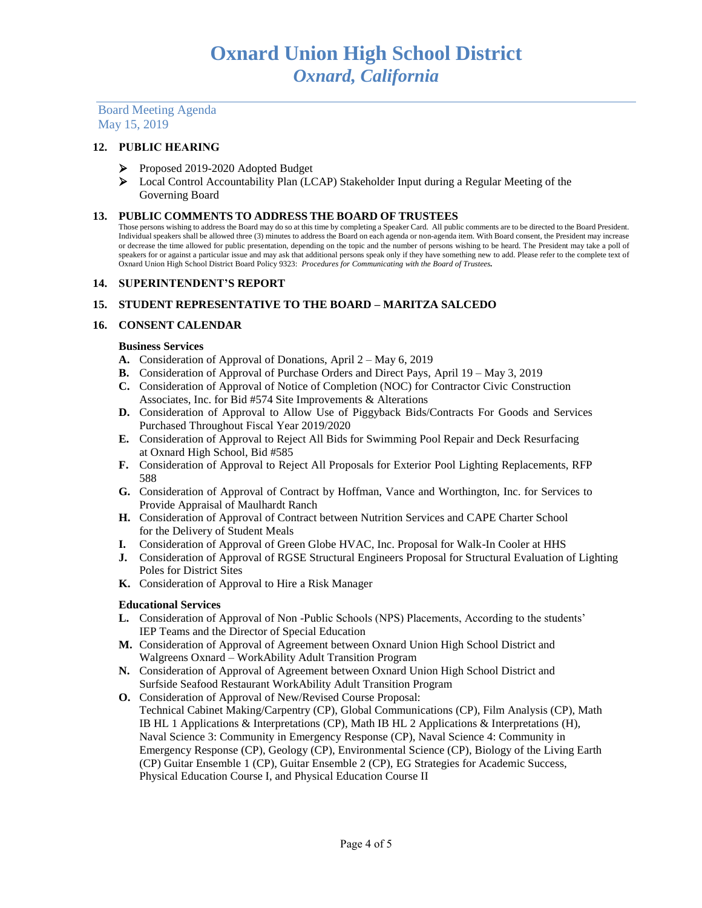## **12. PUBLIC HEARING**

- ➢ Proposed 2019-2020 Adopted Budget
- ➢ Local Control Accountability Plan (LCAP) Stakeholder Input during a Regular Meeting of the Governing Board

#### **13. PUBLIC COMMENTS TO ADDRESS THE BOARD OF TRUSTEES**

Those persons wishing to address the Board may do so at this time by completing a Speaker Card. All public comments are to be directed to the Board President. Individual speakers shall be allowed three (3) minutes to address the Board on each agenda or non-agenda item. With Board consent, the President may increase or decrease the time allowed for public presentation, depending on the topic and the number of persons wishing to be heard. The President may take a poll of speakers for or against a particular issue and may ask that additional persons speak only if they have something new to add. Please refer to the complete text of Oxnard Union High School District Board Policy 9323: *Procedures for Communicating with the Board of Trustees.*

#### **14. SUPERINTENDENT'S REPORT**

## **15. STUDENT REPRESENTATIVE TO THE BOARD – MARITZA SALCEDO**

#### **16. CONSENT CALENDAR**

#### **Business Services**

- **A.** Consideration of Approval of Donations, April 2 May 6, 2019
- **B.** Consideration of Approval of Purchase Orders and Direct Pays, April 19 May 3, 2019
- **C.** Consideration of Approval of Notice of Completion (NOC) for Contractor Civic Construction Associates, Inc. for Bid #574 Site Improvements & Alterations
- **D.** Consideration of Approval to Allow Use of Piggyback Bids/Contracts For Goods and Services Purchased Throughout Fiscal Year 2019/2020
- **E.** Consideration of Approval to Reject All Bids for Swimming Pool Repair and Deck Resurfacing at Oxnard High School, Bid #585
- **F.** Consideration of Approval to Reject All Proposals for Exterior Pool Lighting Replacements, RFP 588
- **G.** Consideration of Approval of Contract by Hoffman, Vance and Worthington, Inc. for Services to Provide Appraisal of Maulhardt Ranch
- **H.** Consideration of Approval of Contract between Nutrition Services and CAPE Charter School for the Delivery of Student Meals
- **I.** Consideration of Approval of Green Globe HVAC, Inc. Proposal for Walk-In Cooler at HHS
- **J.** Consideration of Approval of RGSE Structural Engineers Proposal for Structural Evaluation of Lighting Poles for District Sites
- **K.** Consideration of Approval to Hire a Risk Manager

#### **Educational Services**

- **L.** Consideration of Approval of Non -Public Schools (NPS) Placements, According to the students' IEP Teams and the Director of Special Education
- **M.** Consideration of Approval of Agreement between Oxnard Union High School District and Walgreens Oxnard – WorkAbility Adult Transition Program
- **N.** Consideration of Approval of Agreement between Oxnard Union High School District and Surfside Seafood Restaurant WorkAbility Adult Transition Program
- **O.** Consideration of Approval of New/Revised Course Proposal: Technical Cabinet Making/Carpentry (CP), Global Communications (CP), Film Analysis (CP), Math IB HL 1 Applications & Interpretations (CP), Math IB HL 2 Applications & Interpretations (H), Naval Science 3: Community in Emergency Response (CP), Naval Science 4: Community in Emergency Response (CP), Geology (CP), Environmental Science (CP), Biology of the Living Earth (CP) Guitar Ensemble 1 (CP), Guitar Ensemble 2 (CP), EG Strategies for Academic Success, Physical Education Course I, and Physical Education Course II